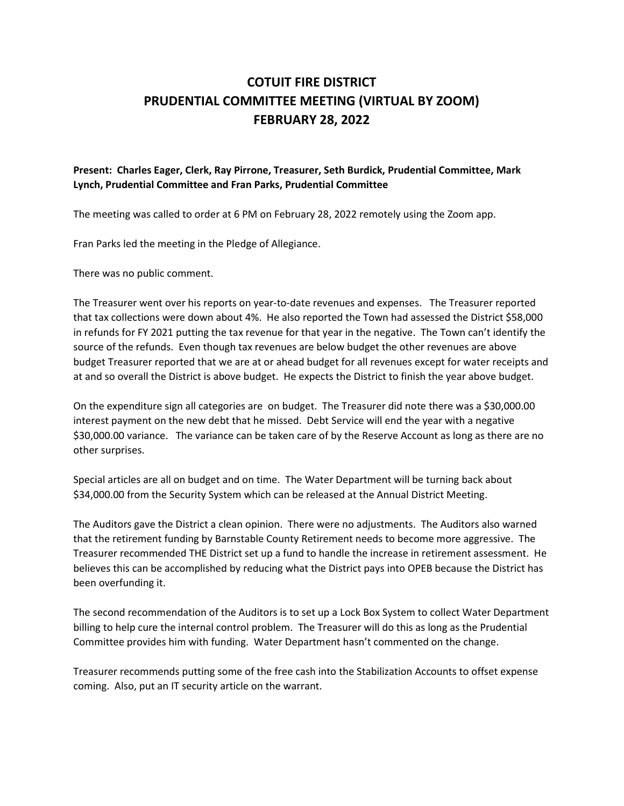## COTUIT FIRE DISTRICT PRUDENTIAL COMMITTEE MEETING (VIRTUAL BY ZOOM) FEBRUARY 28, 2022

## Present: Charles Eager, Clerk, Ray Pirrone, Treasurer, Seth Burdick, Prudential Committee, Mark Lynch, Prudential Committee and Fran Parks, Prudential Committee

The meeting was called to order at 6 PM on February 28, 2022 remotely using the Zoom app.

Fran Parks led the meeting in the Pledge of Allegiance.

There was no public comment.

The Treasurer went over his reports on year-to-date revenues and expenses. The Treasurer reported that tax collections were down about 4%. He also reported the Town had assessed the District \$58,000 in refunds for FY 2021 putting the tax revenue for that year in the negative. The Town can't identify the source of the refunds. Even though tax revenues are below budget the other revenues are above budget Treasurer reported that we are at or ahead budget for all revenues except for water receipts and at and so overall the District is above budget. He expects the District to finish the year above budget.

On the expenditure sign all categories are on budget. The Treasurer did note there was a \$30,000.00 interest payment on the new debt that he missed. Debt Service will end the year with a negative \$30,000.00 variance. The variance can be taken care of by the Reserve Account as long as there are no other surprises.

Special articles are all on budget and on time. The Water Department will be turning back about \$34,000.00 from the Security System which can be released at the Annual District Meeting.

The Auditors gave the District a clean opinion. There were no adjustments. The Auditors also warned that the retirement funding by Barnstable County Retirement needs to become more aggressive. The Treasurer recommended THE District set up a fund to handle the increase in retirement assessment. He believes this can be accomplished by reducing what the District pays into OPEB because the District has been overfunding it.

The second recommendation of the Auditors is to set up a Lock Box System to collect Water Department billing to help cure the internal control problem. The Treasurer will do this as long as the Prudential Committee provides him with funding. Water Department hasn't commented on the change.

Treasurer recommends putting some of the free cash into the Stabilization Accounts to offset expense coming. Also, put an IT security article on the warrant.